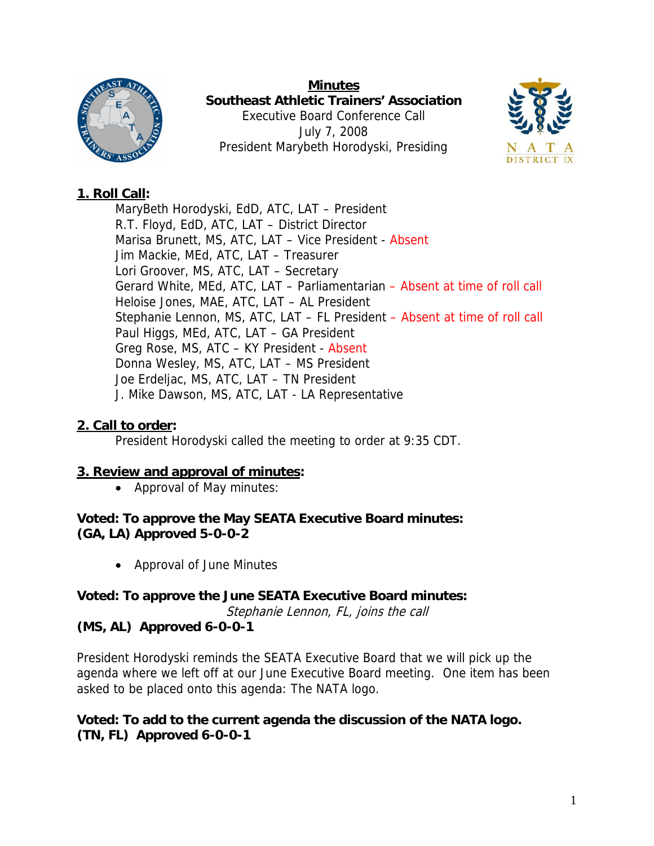

**Minutes Southeast Athletic Trainers' Association**  Executive Board Conference Call July 7, 2008 President Marybeth Horodyski, Presiding



# **1. Roll Call:**

MaryBeth Horodyski, EdD, ATC, LAT – President R.T. Floyd, EdD, ATC, LAT – District Director Marisa Brunett, MS, ATC, LAT – Vice President - Absent Jim Mackie, MEd, ATC, LAT – Treasurer Lori Groover, MS, ATC, LAT – Secretary Gerard White, MEd, ATC, LAT – Parliamentarian – Absent at time of roll call Heloise Jones, MAE, ATC, LAT – AL President Stephanie Lennon, MS, ATC, LAT – FL President – Absent at time of roll call Paul Higgs, MEd, ATC, LAT – GA President Greg Rose, MS, ATC – KY President - Absent Donna Wesley, MS, ATC, LAT – MS President Joe Erdeljac, MS, ATC, LAT – TN President J. Mike Dawson, MS, ATC, LAT - LA Representative

# **2. Call to order:**

President Horodyski called the meeting to order at 9:35 CDT.

# **3. Review and approval of minutes:**

• Approval of May minutes:

**Voted: To approve the May SEATA Executive Board minutes: (GA, LA) Approved 5-0-0-2** 

• Approval of June Minutes

**Voted: To approve the June SEATA Executive Board minutes:**  Stephanie Lennon, FL, joins the call

# **(MS, AL) Approved 6-0-0-1**

President Horodyski reminds the SEATA Executive Board that we will pick up the agenda where we left off at our June Executive Board meeting. One item has been asked to be placed onto this agenda: The NATA logo.

### **Voted: To add to the current agenda the discussion of the NATA logo. (TN, FL) Approved 6-0-0-1**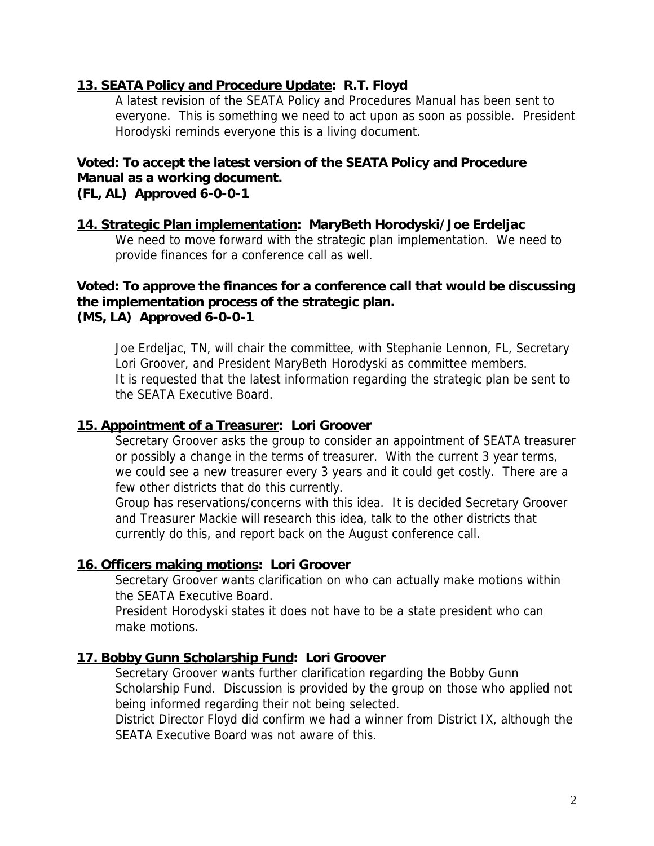### **13. SEATA Policy and Procedure Update: R.T. Floyd**

A latest revision of the SEATA Policy and Procedures Manual has been sent to everyone. This is something we need to act upon as soon as possible. President Horodyski reminds everyone this is a living document.

# **Voted: To accept the latest version of the SEATA Policy and Procedure Manual as a working document.**

**(FL, AL) Approved 6-0-0-1** 

### **14. Strategic Plan implementation: MaryBeth Horodyski/Joe Erdeljac**

We need to move forward with the strategic plan implementation. We need to provide finances for a conference call as well.

#### **Voted: To approve the finances for a conference call that would be discussing the implementation process of the strategic plan. (MS, LA) Approved 6-0-0-1**

Joe Erdeljac, TN, will chair the committee, with Stephanie Lennon, FL, Secretary Lori Groover, and President MaryBeth Horodyski as committee members. It is requested that the latest information regarding the strategic plan be sent to the SEATA Executive Board.

### **15. Appointment of a Treasurer: Lori Groover**

Secretary Groover asks the group to consider an appointment of SEATA treasurer or possibly a change in the terms of treasurer. With the current 3 year terms, we could see a new treasurer every 3 years and it could get costly. There are a few other districts that do this currently.

Group has reservations/concerns with this idea. It is decided Secretary Groover and Treasurer Mackie will research this idea, talk to the other districts that currently do this, and report back on the August conference call.

#### **16. Officers making motions: Lori Groover**

Secretary Groover wants clarification on who can actually make motions within the SEATA Executive Board.

President Horodyski states it does not have to be a state president who can make motions.

#### **17. Bobby Gunn Scholarship Fund: Lori Groover**

Secretary Groover wants further clarification regarding the Bobby Gunn Scholarship Fund. Discussion is provided by the group on those who applied not being informed regarding their not being selected.

District Director Floyd did confirm we had a winner from District IX, although the SEATA Executive Board was not aware of this.